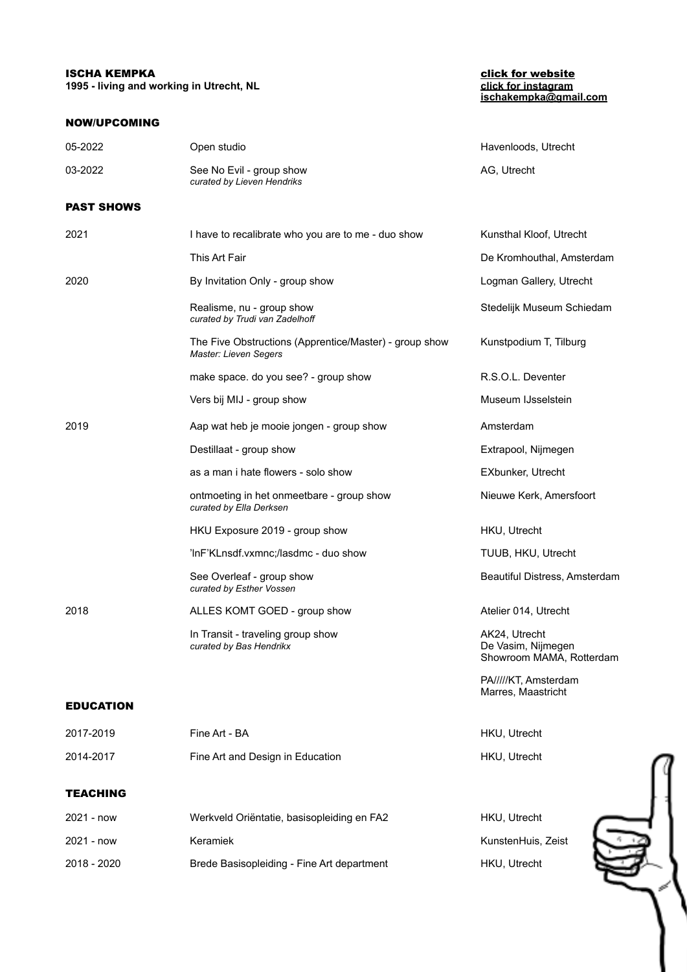## **ISCHA KEMPKA** [click for website](http://www.ischakempka.com)

**1995 - living and working in Utrecht, NL** 

## NOW/UPCOMING

## **[ischakempka@gmail.com](mailto:ischakempka@gmail.com)**

| 05-2022           | Open studio                                                                     | Havenloods, Utrecht                                             |
|-------------------|---------------------------------------------------------------------------------|-----------------------------------------------------------------|
| 03-2022           | See No Evil - group show<br>curated by Lieven Hendriks                          | AG, Utrecht                                                     |
| <b>PAST SHOWS</b> |                                                                                 |                                                                 |
| 2021              | I have to recalibrate who you are to me - duo show                              | Kunsthal Kloof, Utrecht                                         |
|                   | This Art Fair                                                                   | De Kromhouthal, Amsterdam                                       |
| 2020              | By Invitation Only - group show                                                 | Logman Gallery, Utrecht                                         |
|                   | Realisme, nu - group show<br>curated by Trudi van Zadelhoff                     | Stedelijk Museum Schiedam                                       |
|                   | The Five Obstructions (Apprentice/Master) - group show<br>Master: Lieven Segers | Kunstpodium T, Tilburg                                          |
|                   | make space. do you see? - group show                                            | R.S.O.L. Deventer                                               |
|                   | Vers bij MIJ - group show                                                       | Museum IJsselstein                                              |
| 2019              | Aap wat heb je mooie jongen - group show                                        | Amsterdam                                                       |
|                   | Destillaat - group show                                                         | Extrapool, Nijmegen                                             |
|                   | as a man i hate flowers - solo show                                             | EXbunker, Utrecht                                               |
|                   | ontmoeting in het onmeetbare - group show<br>curated by Ella Derksen            | Nieuwe Kerk, Amersfoort                                         |
|                   | HKU Exposure 2019 - group show                                                  | HKU, Utrecht                                                    |
|                   | 'InF'KLnsdf.vxmnc;/lasdmc - duo show                                            | TUUB, HKU, Utrecht                                              |
|                   | See Overleaf - group show<br>curated by Esther Vossen                           | Beautiful Distress, Amsterdam                                   |
| 2018              | ALLES KOMT GOED - group show                                                    | Atelier 014, Utrecht                                            |
|                   | In Transit - traveling group show<br>curated by Bas Hendrikx                    | AK24, Utrecht<br>De Vasim, Nijmegen<br>Showroom MAMA, Rotterdam |
|                   |                                                                                 | PA////KT, Amsterdam                                             |
| <b>EDUCATION</b>  |                                                                                 | Marres, Maastricht                                              |
| 2017-2019         | Fine Art - BA                                                                   | HKU, Utrecht                                                    |
| 2014-2017         | Fine Art and Design in Education                                                | HKU, Utrecht                                                    |
| <b>TEACHING</b>   |                                                                                 |                                                                 |
| 2021 - now        | Werkveld Oriëntatie, basisopleiding en FA2                                      | HKU, Utrecht                                                    |
| 2021 - now        | Keramiek                                                                        | KunstenHuis, Zeist                                              |
| 2018 - 2020       | Brede Basisopleiding - Fine Art department                                      | HKU, Utrecht                                                    |
|                   |                                                                                 |                                                                 |